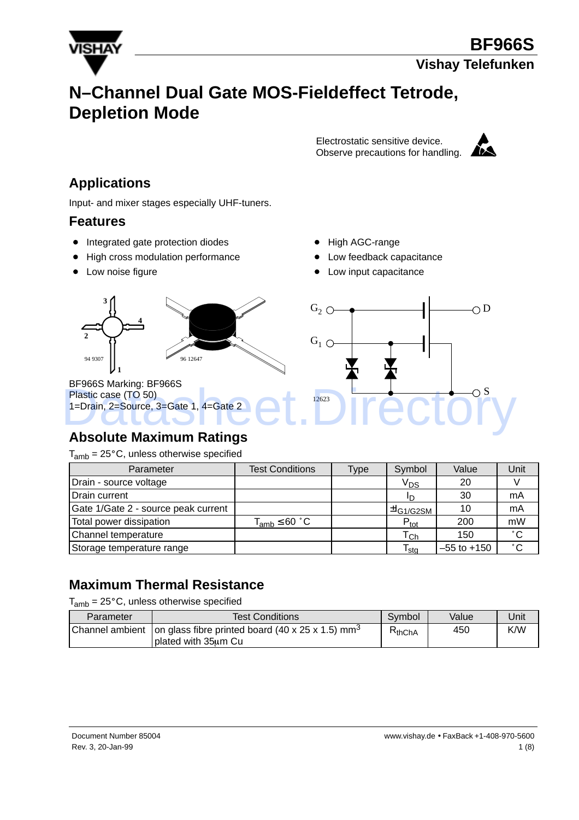

# **N–Channel Dual Gate MOS-Fieldeffect Tetrode, Depletion Mode**

Electrostatic sensitive device. Observe precautions for handling.



## **Applications**

Input- and mixer stages especially UHF-tuners.

#### **Features**

- Integrated gate protection diodes
- $\bullet$ High cross modulation performance
- Low noise figure
- High AGC-range
- Low feedback capacitance
- Low input capacitance



#### **Absolute Maximum Ratings**

 $T_{amb}$  = 25 $^{\circ}$ C, unless otherwise specified

| Parameter                           | <b>Test Conditions</b> | Type | Symbol                      | Value           | Unit         |
|-------------------------------------|------------------------|------|-----------------------------|-----------------|--------------|
| Drain - source voltage              |                        |      | V <sub>DS</sub>             | 20              |              |
| Drain current                       |                        |      | חי                          | 30              | mA           |
| Gate 1/Gate 2 - source peak current |                        |      | ⊥±l <sub>G1/G2SM</sub> '    | 10              | mA           |
| Total power dissipation             | $T_{amb} \leq 60 °C$   |      | $P_{\text{tot}}$            | 200             | mW           |
| Channel temperature                 |                        |      | $\mathsf{T}_{\mathsf{Ch}}$  | 150             | $^{\circ}$ C |
| Storage temperature range           |                        |      | $\mathsf{T}_{\mathsf{stg}}$ | $-55$ to $+150$ | $^{\circ}$ C |

### **Maximum Thermal Resistance**

 $T_{amb}$  = 25 $^{\circ}$ C, unless otherwise specified

| Parameter | <b>Test Conditions</b>                                                                                | Symbol      | Value | Jnit |
|-----------|-------------------------------------------------------------------------------------------------------|-------------|-------|------|
|           | Channel ambient   on glass fibre printed board (40 x 25 x 1.5) mm <sup>3</sup><br>plated with 35um Cu | $R_{thChA}$ | 450   | K/W  |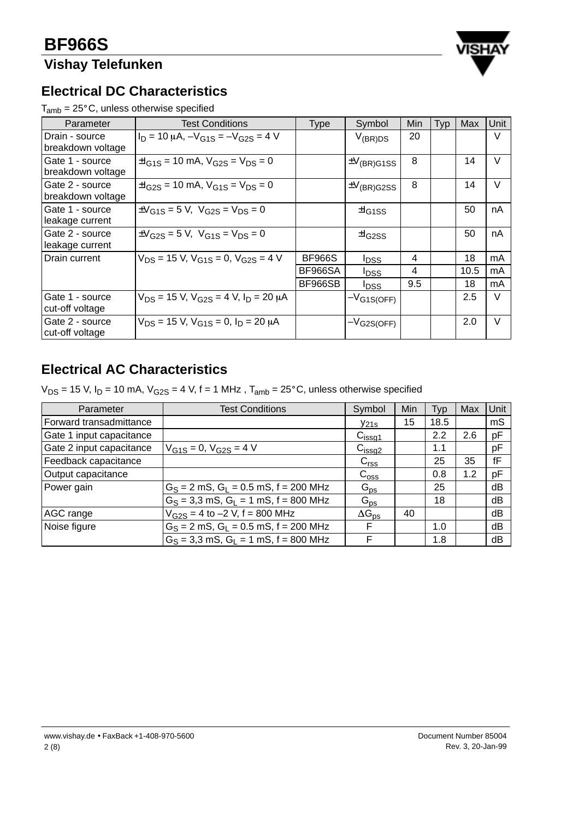## **Vishay Telefunken**



#### **Electrical DC Characteristics**

 $T_{amb} = 25^{\circ}$ C, unless otherwise specified

| Parameter                            | <b>Test Conditions</b>                                      | <b>Type</b>   | Symbol                    | Min | Typ | Max  | Unit   |
|--------------------------------------|-------------------------------------------------------------|---------------|---------------------------|-----|-----|------|--------|
| Drain - source<br>breakdown voltage  | $I_D = 10 \mu A$ , $-V_{G1S} = -V_{G2S} = 4 V$              |               | $V_{(BR)DS}$              | 20  |     |      | V      |
| Gate 1 - source<br>breakdown voltage | $\pm I_{G1S}$ = 10 mA, $V_{G2S}$ = $V_{DS}$ = 0             |               | $\pm V_{\text{(BR)}G1SS}$ | 8   |     | 14   | V      |
| Gate 2 - source<br>breakdown voltage | $\pm I_{\rm G2S}$ = 10 mA, $V_{\rm G1S}$ = $V_{\rm DS}$ = 0 |               | $\pm V_{\text{(BR)}G2SS}$ | 8   |     | 14   | $\vee$ |
| Gate 1 - source<br>leakage current   | $\pm V_{G1S} = 5 V$ , $V_{G2S} = V_{DS} = 0$                |               | $\pm$ <sub>G1SS</sub>     |     |     | 50   | nA     |
| Gate 2 - source<br>leakage current   | $\pm V_{G2S} = 5 V$ , $V_{G1S} = V_{DS} = 0$                |               | $\pm$ <sub>G2SS</sub>     |     |     | 50   | nA     |
| Drain current                        | $V_{DS}$ = 15 V, $V_{G1S}$ = 0, $V_{G2S}$ = 4 V             | <b>BF966S</b> | <b>I</b> DSS              | 4   |     | 18   | mA     |
|                                      |                                                             | BF966SA       | <b>IDSS</b>               | 4   |     | 10.5 | mA     |
|                                      |                                                             | BF966SB       | <b>IDSS</b>               | 9.5 |     | 18   | mA     |
| Gate 1 - source<br>cut-off voltage   | $V_{DS}$ = 15 V, $V_{G2S}$ = 4 V, $I_D$ = 20 µA             |               | $-V_{G1S(OFF)}$           |     |     | 2.5  | $\vee$ |
| Gate 2 - source<br>cut-off voltage   | $V_{DS}$ = 15 V, $V_{G1S}$ = 0, $I_D$ = 20 $\mu$ A          |               | $-V$ G2S(OFF)             |     |     | 2.0  | $\vee$ |

## **Electrical AC Characteristics**

 $V_{DS}$  = 15 V, I<sub>D</sub> = 10 mA,  $V_{G2S}$  = 4 V, f = 1 MHz, T<sub>amb</sub> = 25°C, unless otherwise specified

| Parameter                | <b>Test Conditions</b>                      | Symbol             | Min | Typ  | Max | Unit |
|--------------------------|---------------------------------------------|--------------------|-----|------|-----|------|
| Forward transadmittance  |                                             | $y_{21s}$          | 15  | 18.5 |     | mS   |
| Gate 1 input capacitance |                                             | C <sub>issg1</sub> |     | 2.2  | 2.6 | pF   |
| Gate 2 input capacitance | $V_{G1S} = 0$ , $V_{G2S} = 4 V$             | C <sub>issg2</sub> |     | 1.1  |     | pF   |
| Feedback capacitance     |                                             | C <sub>rss</sub>   |     | 25   | 35  | fF   |
| Output capacitance       |                                             | $C_{\rm{oss}}$     |     | 0.8  | 1.2 | pF   |
| Power gain               | $G_S = 2$ mS, $G_L = 0.5$ mS, $f = 200$ MHz | $G_{\text{ps}}$    |     | 25   |     | dB   |
|                          | $G_S = 3.3$ mS, $G_l = 1$ mS, $f = 800$ MHz | $G_{\text{ps}}$    |     | 18   |     | dB   |
| AGC range                | $V_{G2S} = 4$ to $-2$ V, f = 800 MHz        | $\Delta G_{DS}$    | 40  |      |     | dB   |
| Noise figure             | $G_S = 2$ mS, $G_L = 0.5$ mS, $f = 200$ MHz | F                  |     | 1.0  |     | dB   |
|                          | $G_S = 3.3$ mS, $G_L = 1$ mS, $f = 800$ MHz | F                  |     | 1.8  |     | dB   |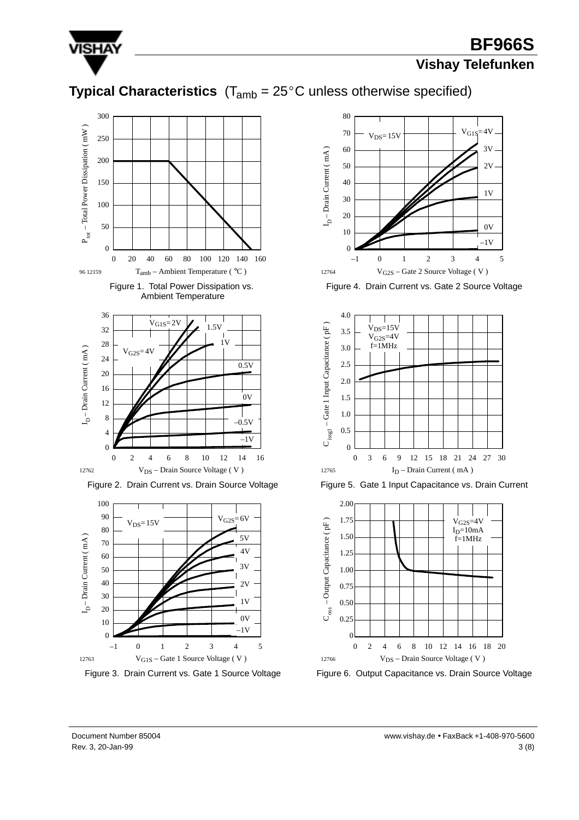

## **BF966S**

#### **Vishay Telefunken**

## **Typical Characteristics**  $(T_{amb} = 25^{\circ}C$  unless otherwise specified)











Figure 3. Drain Current vs. Gate 1 Source Voltage



Figure 4. Drain Current vs. Gate 2 Source Voltage



Figure 5. Gate 1 Input Capacitance vs. Drain Current



Figure 6. Output Capacitance vs. Drain Source Voltage

Document Number 85004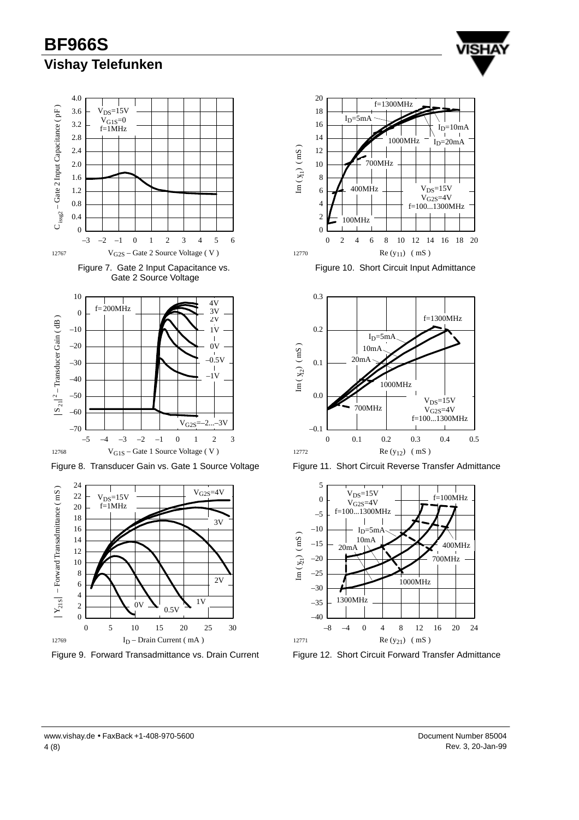**BF966S Vishay Telefunken**









Figure 8. Transducer Gain vs. Gate 1 Source Voltage



Figure 9. Forward Transadmittance vs. Drain Current



Figure 10. Short Circuit Input Admittance



Figure 11. Short Circuit Reverse Transfer Admittance



Figure 12. Short Circuit Forward Transfer Admittance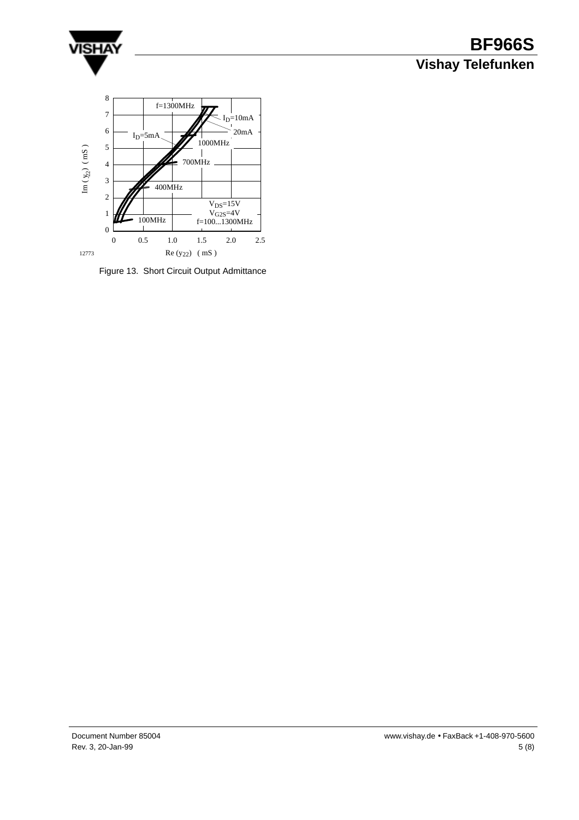

## **BF966S Vishay Telefunken**



Figure 13. Short Circuit Output Admittance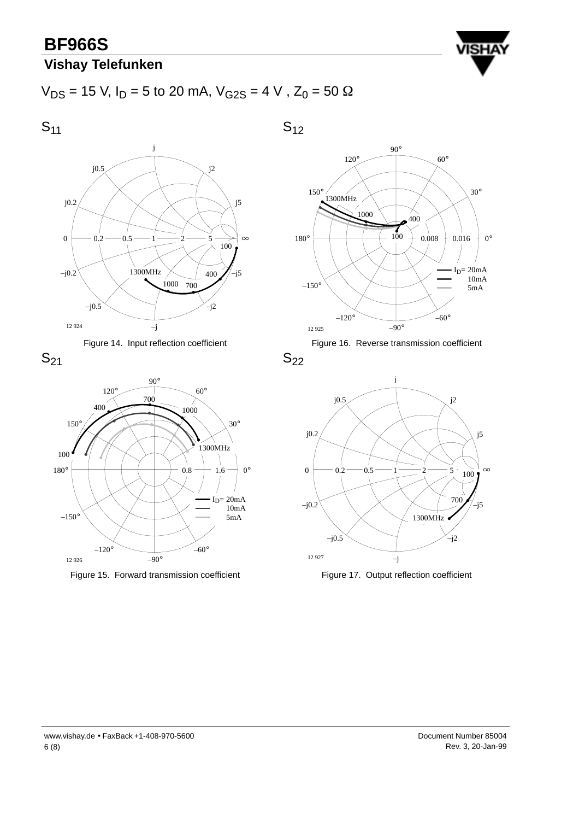## **BF966S**

## **Vishay Telefunken**



 $V_{DS}$  = 15 V, I<sub>D</sub> = 5 to 20 mA,  $V_{G2S}$  = 4 V, Z<sub>0</sub> = 50  $\Omega$ 

 $S_{11}$ j0.2 j0.5 j  $S_{12}$ 









Figure 15. Forward transmission coefficient





 $S_{22}$ 



Figure 17. Output reflection coefficient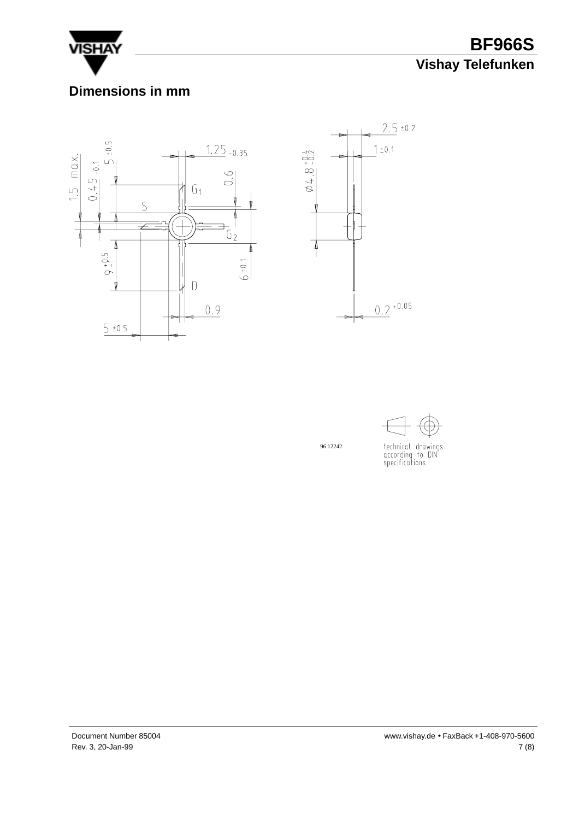

**BF966S Vishay Telefunken**

#### **Dimensions in mm**







technical drawings<br>according to DIN<br>specifications

96 12242